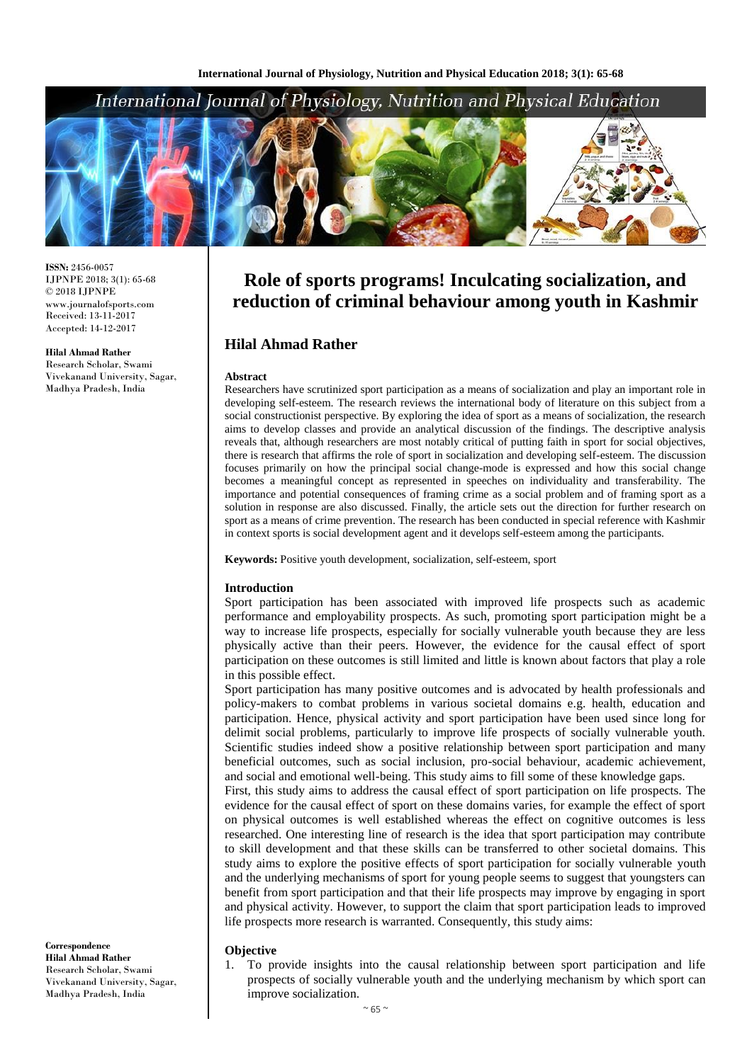# International Journal of Physiology, Nutrition and Physical Education



**ISSN:** 2456-0057 IJPNPE 2018; 3(1): 65-68  $\odot$  2018 IJPNPE www.journalofsports.com Received: 13-11-2017 Accepted: 14-12-2017

#### **Hilal Ahmad Rather**

Research Scholar, Swami Vivekanand University, Sagar, Madhya Pradesh, India

**Role of sports programs! Inculcating socialization, and reduction of criminal behaviour among youth in Kashmir**

# **Hilal Ahmad Rather**

#### **Abstract**

Researchers have scrutinized sport participation as a means of socialization and play an important role in developing self-esteem. The research reviews the international body of literature on this subject from a social constructionist perspective. By exploring the idea of sport as a means of socialization, the research aims to develop classes and provide an analytical discussion of the findings. The descriptive analysis reveals that, although researchers are most notably critical of putting faith in sport for social objectives, there is research that affirms the role of sport in socialization and developing self-esteem. The discussion focuses primarily on how the principal social change-mode is expressed and how this social change becomes a meaningful concept as represented in speeches on individuality and transferability. The importance and potential consequences of framing crime as a social problem and of framing sport as a solution in response are also discussed. Finally, the article sets out the direction for further research on sport as a means of crime prevention. The research has been conducted in special reference with Kashmir in context sports is social development agent and it develops self-esteem among the participants.

**Keywords:** Positive youth development, socialization, self-esteem, sport

#### **Introduction**

Sport participation has been associated with improved life prospects such as academic performance and employability prospects. As such, promoting sport participation might be a way to increase life prospects, especially for socially vulnerable youth because they are less physically active than their peers. However, the evidence for the causal effect of sport participation on these outcomes is still limited and little is known about factors that play a role in this possible effect.

Sport participation has many positive outcomes and is advocated by health professionals and policy-makers to combat problems in various societal domains e.g. health, education and participation. Hence, physical activity and sport participation have been used since long for delimit social problems, particularly to improve life prospects of socially vulnerable youth. Scientific studies indeed show a positive relationship between sport participation and many beneficial outcomes, such as social inclusion, pro-social behaviour, academic achievement, and social and emotional well-being. This study aims to fill some of these knowledge gaps.

First, this study aims to address the causal effect of sport participation on life prospects. The evidence for the causal effect of sport on these domains varies, for example the effect of sport on physical outcomes is well established whereas the effect on cognitive outcomes is less researched. One interesting line of research is the idea that sport participation may contribute to skill development and that these skills can be transferred to other societal domains. This study aims to explore the positive effects of sport participation for socially vulnerable youth and the underlying mechanisms of sport for young people seems to suggest that youngsters can benefit from sport participation and that their life prospects may improve by engaging in sport and physical activity. However, to support the claim that sport participation leads to improved life prospects more research is warranted. Consequently, this study aims:

### **Objective**

1. To provide insights into the causal relationship between sport participation and life prospects of socially vulnerable youth and the underlying mechanism by which sport can improve socialization.

**Correspondence Hilal Ahmad Rather** Research Scholar, Swami Vivekanand University, Sagar, Madhya Pradesh, India

#### $~\sim$  65  $~\sim$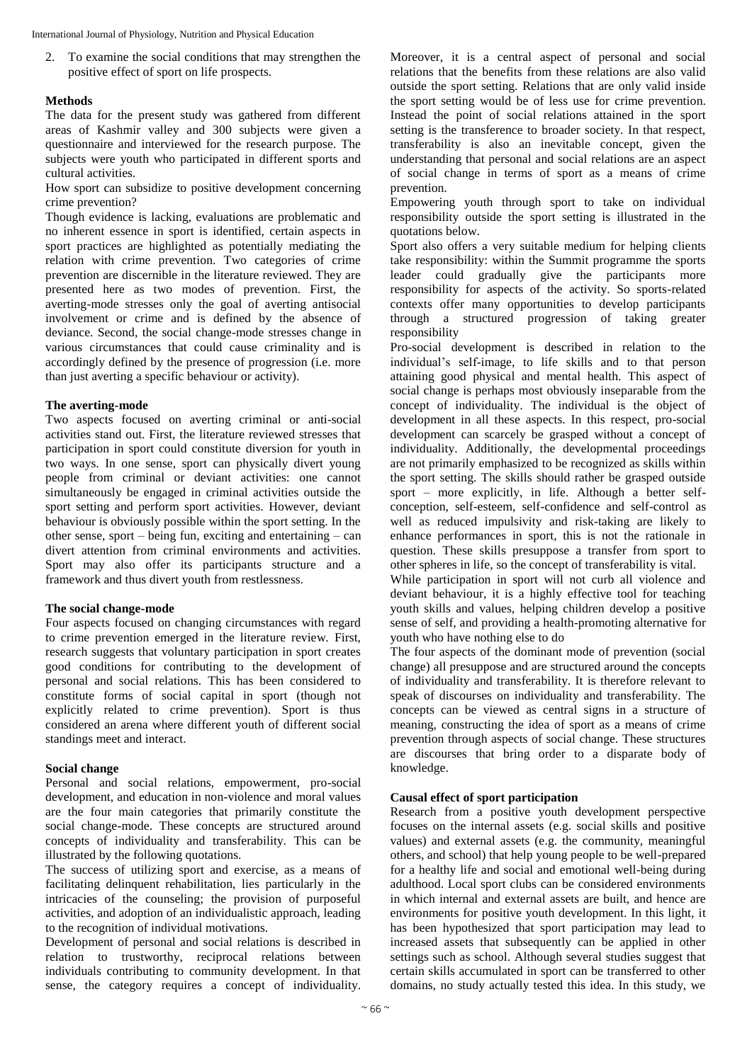2. To examine the social conditions that may strengthen the positive effect of sport on life prospects.

# **Methods**

The data for the present study was gathered from different areas of Kashmir valley and 300 subjects were given a questionnaire and interviewed for the research purpose. The subjects were youth who participated in different sports and cultural activities.

How sport can subsidize to positive development concerning crime prevention?

Though evidence is lacking, evaluations are problematic and no inherent essence in sport is identified, certain aspects in sport practices are highlighted as potentially mediating the relation with crime prevention. Two categories of crime prevention are discernible in the literature reviewed. They are presented here as two modes of prevention. First, the averting-mode stresses only the goal of averting antisocial involvement or crime and is defined by the absence of deviance. Second, the social change-mode stresses change in various circumstances that could cause criminality and is accordingly defined by the presence of progression (i.e. more than just averting a specific behaviour or activity).

### **The averting-mode**

Two aspects focused on averting criminal or anti-social activities stand out. First, the literature reviewed stresses that participation in sport could constitute diversion for youth in two ways. In one sense, sport can physically divert young people from criminal or deviant activities: one cannot simultaneously be engaged in criminal activities outside the sport setting and perform sport activities. However, deviant behaviour is obviously possible within the sport setting. In the other sense, sport – being fun, exciting and entertaining – can divert attention from criminal environments and activities. Sport may also offer its participants structure and a framework and thus divert youth from restlessness.

# **The social change-mode**

Four aspects focused on changing circumstances with regard to crime prevention emerged in the literature review. First, research suggests that voluntary participation in sport creates good conditions for contributing to the development of personal and social relations. This has been considered to constitute forms of social capital in sport (though not explicitly related to crime prevention). Sport is thus considered an arena where different youth of different social standings meet and interact.

### **Social change**

Personal and social relations, empowerment, pro-social development, and education in non-violence and moral values are the four main categories that primarily constitute the social change-mode. These concepts are structured around concepts of individuality and transferability. This can be illustrated by the following quotations.

The success of utilizing sport and exercise, as a means of facilitating delinquent rehabilitation, lies particularly in the intricacies of the counseling; the provision of purposeful activities, and adoption of an individualistic approach, leading to the recognition of individual motivations.

Development of personal and social relations is described in relation to trustworthy, reciprocal relations between individuals contributing to community development. In that sense, the category requires a concept of individuality. Moreover, it is a central aspect of personal and social relations that the benefits from these relations are also valid outside the sport setting. Relations that are only valid inside the sport setting would be of less use for crime prevention. Instead the point of social relations attained in the sport setting is the transference to broader society. In that respect, transferability is also an inevitable concept, given the understanding that personal and social relations are an aspect of social change in terms of sport as a means of crime prevention.

Empowering youth through sport to take on individual responsibility outside the sport setting is illustrated in the quotations below.

Sport also offers a very suitable medium for helping clients take responsibility: within the Summit programme the sports leader could gradually give the participants more responsibility for aspects of the activity. So sports-related contexts offer many opportunities to develop participants through a structured progression of taking greater responsibility

Pro-social development is described in relation to the individual's self-image, to life skills and to that person attaining good physical and mental health. This aspect of social change is perhaps most obviously inseparable from the concept of individuality. The individual is the object of development in all these aspects. In this respect, pro-social development can scarcely be grasped without a concept of individuality. Additionally, the developmental proceedings are not primarily emphasized to be recognized as skills within the sport setting. The skills should rather be grasped outside sport – more explicitly, in life. Although a better selfconception, self-esteem, self-confidence and self-control as well as reduced impulsivity and risk-taking are likely to enhance performances in sport, this is not the rationale in question. These skills presuppose a transfer from sport to other spheres in life, so the concept of transferability is vital.

While participation in sport will not curb all violence and deviant behaviour, it is a highly effective tool for teaching youth skills and values, helping children develop a positive sense of self, and providing a health-promoting alternative for youth who have nothing else to do

The four aspects of the dominant mode of prevention (social change) all presuppose and are structured around the concepts of individuality and transferability. It is therefore relevant to speak of discourses on individuality and transferability. The concepts can be viewed as central signs in a structure of meaning, constructing the idea of sport as a means of crime prevention through aspects of social change. These structures are discourses that bring order to a disparate body of knowledge.

# **Causal effect of sport participation**

Research from a positive youth development perspective focuses on the internal assets (e.g. social skills and positive values) and external assets (e.g. the community, meaningful others, and school) that help young people to be well-prepared for a healthy life and social and emotional well-being during adulthood. Local sport clubs can be considered environments in which internal and external assets are built, and hence are environments for positive youth development. In this light, it has been hypothesized that sport participation may lead to increased assets that subsequently can be applied in other settings such as school. Although several studies suggest that certain skills accumulated in sport can be transferred to other domains, no study actually tested this idea. In this study, we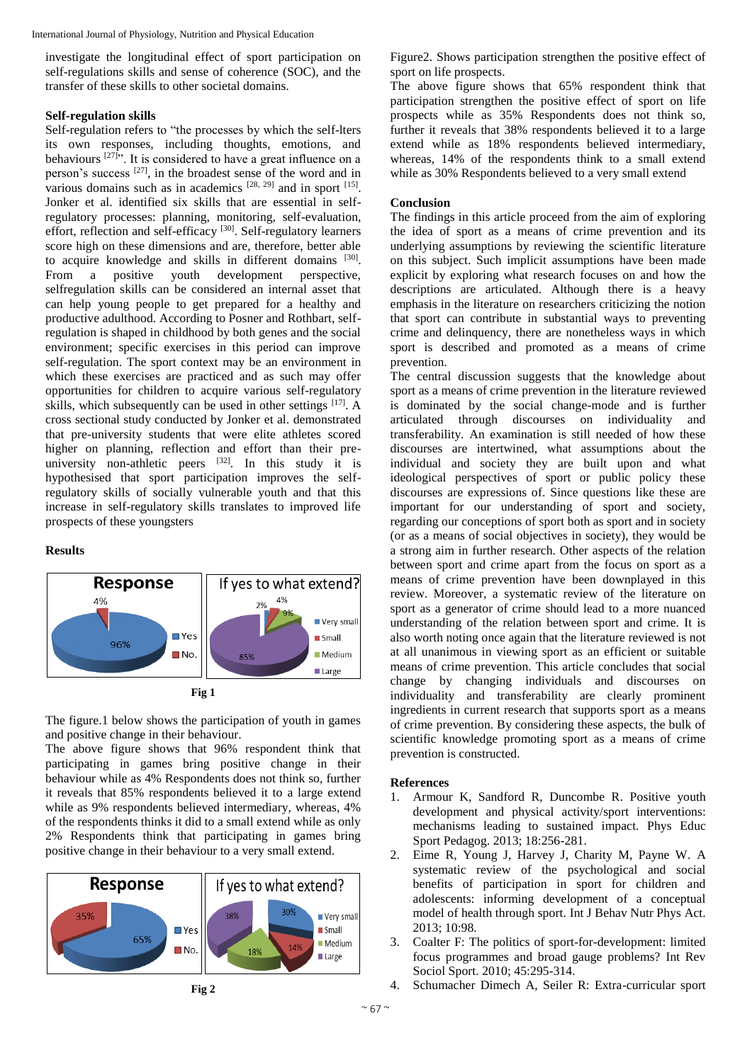investigate the longitudinal effect of sport participation on self-regulations skills and sense of coherence (SOC), and the transfer of these skills to other societal domains.

# **Self-regulation skills**

Self-regulation refers to "the processes by which the self-lters its own responses, including thoughts, emotions, and behaviours  $[27]$ . It is considered to have a great influence on a person's success [27], in the broadest sense of the word and in various domains such as in academics  $[28, 29]$  and in sport  $[15]$ . Jonker et al. identified six skills that are essential in selfregulatory processes: planning, monitoring, self-evaluation, effort, reflection and self-efficacy [30]. Self-regulatory learners score high on these dimensions and are, therefore, better able to acquire knowledge and skills in different domains [30]. From a positive youth development perspective, selfregulation skills can be considered an internal asset that can help young people to get prepared for a healthy and productive adulthood. According to Posner and Rothbart, selfregulation is shaped in childhood by both genes and the social environment; specific exercises in this period can improve self-regulation. The sport context may be an environment in which these exercises are practiced and as such may offer opportunities for children to acquire various self-regulatory skills, which subsequently can be used in other settings [17]. A cross sectional study conducted by Jonker et al. demonstrated that pre-university students that were elite athletes scored higher on planning, reflection and effort than their preuniversity non-athletic peers  $[32]$ . In this study it is hypothesised that sport participation improves the selfregulatory skills of socially vulnerable youth and that this increase in self-regulatory skills translates to improved life prospects of these youngsters

# **Results**



The figure.1 below shows the participation of youth in games and positive change in their behaviour.

The above figure shows that 96% respondent think that participating in games bring positive change in their behaviour while as 4% Respondents does not think so, further it reveals that 85% respondents believed it to a large extend while as 9% respondents believed intermediary, whereas, 4% of the respondents thinks it did to a small extend while as only 2% Respondents think that participating in games bring positive change in their behaviour to a very small extend.



$$
Fig  $\frac{1}{2}$
$$

Figure2. Shows participation strengthen the positive effect of sport on life prospects.

The above figure shows that 65% respondent think that participation strengthen the positive effect of sport on life prospects while as 35% Respondents does not think so, further it reveals that 38% respondents believed it to a large extend while as 18% respondents believed intermediary, whereas, 14% of the respondents think to a small extend while as 30% Respondents believed to a very small extend

# **Conclusion**

The findings in this article proceed from the aim of exploring the idea of sport as a means of crime prevention and its underlying assumptions by reviewing the scientific literature on this subject. Such implicit assumptions have been made explicit by exploring what research focuses on and how the descriptions are articulated. Although there is a heavy emphasis in the literature on researchers criticizing the notion that sport can contribute in substantial ways to preventing crime and delinquency, there are nonetheless ways in which sport is described and promoted as a means of crime prevention.

The central discussion suggests that the knowledge about sport as a means of crime prevention in the literature reviewed is dominated by the social change-mode and is further articulated through discourses on individuality and transferability. An examination is still needed of how these discourses are intertwined, what assumptions about the individual and society they are built upon and what ideological perspectives of sport or public policy these discourses are expressions of. Since questions like these are important for our understanding of sport and society, regarding our conceptions of sport both as sport and in society (or as a means of social objectives in society), they would be a strong aim in further research. Other aspects of the relation between sport and crime apart from the focus on sport as a means of crime prevention have been downplayed in this review. Moreover, a systematic review of the literature on sport as a generator of crime should lead to a more nuanced understanding of the relation between sport and crime. It is also worth noting once again that the literature reviewed is not at all unanimous in viewing sport as an efficient or suitable means of crime prevention. This article concludes that social change by changing individuals and discourses on individuality and transferability are clearly prominent ingredients in current research that supports sport as a means of crime prevention. By considering these aspects, the bulk of scientific knowledge promoting sport as a means of crime prevention is constructed.

### **References**

- 1. Armour K, Sandford R, Duncombe R. Positive youth development and physical activity/sport interventions: mechanisms leading to sustained impact. Phys Educ Sport Pedagog. 2013; 18:256-281.
- 2. Eime R, Young J, Harvey J, Charity M, Payne W. A systematic review of the psychological and social benefits of participation in sport for children and adolescents: informing development of a conceptual model of health through sport. Int J Behav Nutr Phys Act. 2013; 10:98.
- 3. Coalter F: The politics of sport-for-development: limited focus programmes and broad gauge problems? Int Rev Sociol Sport. 2010; 45:295-314.
- 4. Schumacher Dimech A, Seiler R: Extra-curricular sport